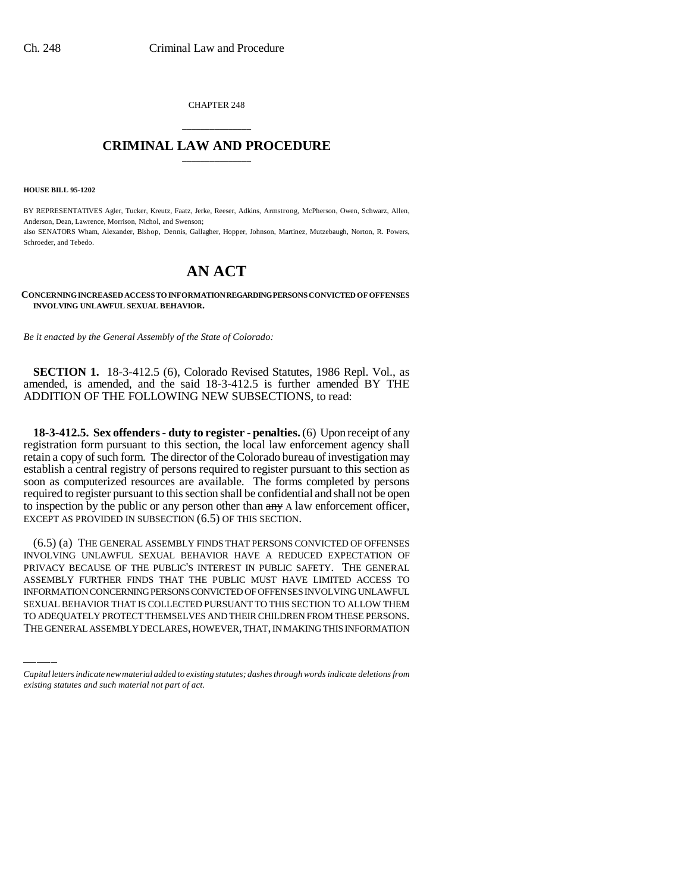CHAPTER 248

## \_\_\_\_\_\_\_\_\_\_\_\_\_\_\_ **CRIMINAL LAW AND PROCEDURE** \_\_\_\_\_\_\_\_\_\_\_\_\_\_\_

**HOUSE BILL 95-1202**

BY REPRESENTATIVES Agler, Tucker, Kreutz, Faatz, Jerke, Reeser, Adkins, Armstrong, McPherson, Owen, Schwarz, Allen, Anderson, Dean, Lawrence, Morrison, Nichol, and Swenson; also SENATORS Wham, Alexander, Bishop, Dennis, Gallagher, Hopper, Johnson, Martinez, Mutzebaugh, Norton, R. Powers, Schroeder, and Tebedo.

## **AN ACT**

**CONCERNING INCREASED ACCESS TO INFORMATION REGARDING PERSONS CONVICTED OF OFFENSES INVOLVING UNLAWFUL SEXUAL BEHAVIOR.**

*Be it enacted by the General Assembly of the State of Colorado:*

**SECTION 1.** 18-3-412.5 (6), Colorado Revised Statutes, 1986 Repl. Vol., as amended, is amended, and the said 18-3-412.5 is further amended BY THE ADDITION OF THE FOLLOWING NEW SUBSECTIONS, to read:

**18-3-412.5. Sex offenders - duty to register - penalties.** (6) Upon receipt of any registration form pursuant to this section, the local law enforcement agency shall retain a copy of such form. The director of the Colorado bureau of investigation may establish a central registry of persons required to register pursuant to this section as soon as computerized resources are available. The forms completed by persons required to register pursuant to this section shall be confidential and shall not be open to inspection by the public or any person other than  $\frac{any}{any}$  A law enforcement officer, EXCEPT AS PROVIDED IN SUBSECTION (6.5) OF THIS SECTION.

ASSEMBLY FURTHER FINDS THAT THE PUBLIC MUST HAVE LIMITED ACCESS TO (6.5) (a) THE GENERAL ASSEMBLY FINDS THAT PERSONS CONVICTED OF OFFENSES INVOLVING UNLAWFUL SEXUAL BEHAVIOR HAVE A REDUCED EXPECTATION OF PRIVACY BECAUSE OF THE PUBLIC'S INTEREST IN PUBLIC SAFETY. THE GENERAL INFORMATION CONCERNING PERSONS CONVICTED OF OFFENSES INVOLVING UNLAWFUL SEXUAL BEHAVIOR THAT IS COLLECTED PURSUANT TO THIS SECTION TO ALLOW THEM TO ADEQUATELY PROTECT THEMSELVES AND THEIR CHILDREN FROM THESE PERSONS. THE GENERAL ASSEMBLY DECLARES, HOWEVER, THAT, IN MAKING THIS INFORMATION

*Capital letters indicate new material added to existing statutes; dashes through words indicate deletions from existing statutes and such material not part of act.*